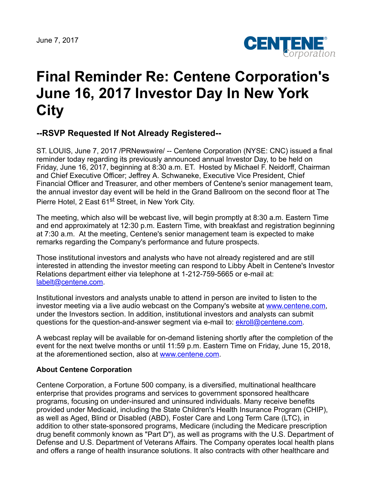

## **Final Reminder Re: Centene Corporation's June 16, 2017 Investor Day In New York City**

**--RSVP Requested If Not Already Registered--**

ST. LOUIS, June 7, 2017 /PRNewswire/ -- Centene Corporation (NYSE: CNC) issued a final reminder today regarding its previously announced annual Investor Day, to be held on Friday, June 16, 2017, beginning at 8:30 a.m. ET. Hosted by Michael F. Neidorff, Chairman and Chief Executive Officer; Jeffrey A. Schwaneke, Executive Vice President, Chief Financial Officer and Treasurer, and other members of Centene's senior management team, the annual investor day event will be held in the Grand Ballroom on the second floor at The Pierre Hotel, 2 East 61<sup>st</sup> Street, in New York City.

The meeting, which also will be webcast live, will begin promptly at 8:30 a.m. Eastern Time and end approximately at 12:30 p.m. Eastern Time, with breakfast and registration beginning at 7:30 a.m. At the meeting, Centene's senior management team is expected to make remarks regarding the Company's performance and future prospects.

Those institutional investors and analysts who have not already registered and are still interested in attending the investor meeting can respond to Libby Abelt in Centene's Investor Relations department either via telephone at 1-212-759-5665 or e-mail at: [labelt@centene.com.](mailto:labelt@centene.com)

Institutional investors and analysts unable to attend in person are invited to listen to the investor meeting via a live audio webcast on the Company's website at [www.centene.com,](http://www.centene.com/) under the Investors section. In addition, institutional investors and analysts can submit questions for the question-and-answer segment via e-mail to: [ekroll@centene.com.](mailto:ekroll@centene.com)

A webcast replay will be available for on-demand listening shortly after the completion of the event for the next twelve months or until 11:59 p.m. Eastern Time on Friday, June 15, 2018, at the aforementioned section, also at [www.centene.com.](http://www.centene.com/)

## **About Centene Corporation**

Centene Corporation, a Fortune 500 company, is a diversified, multinational healthcare enterprise that provides programs and services to government sponsored healthcare programs, focusing on under-insured and uninsured individuals. Many receive benefits provided under Medicaid, including the State Children's Health Insurance Program (CHIP), as well as Aged, Blind or Disabled (ABD), Foster Care and Long Term Care (LTC), in addition to other state-sponsored programs, Medicare (including the Medicare prescription drug benefit commonly known as "Part D"), as well as programs with the U.S. Department of Defense and U.S. Department of Veterans Affairs. The Company operates local health plans and offers a range of health insurance solutions. It also contracts with other healthcare and